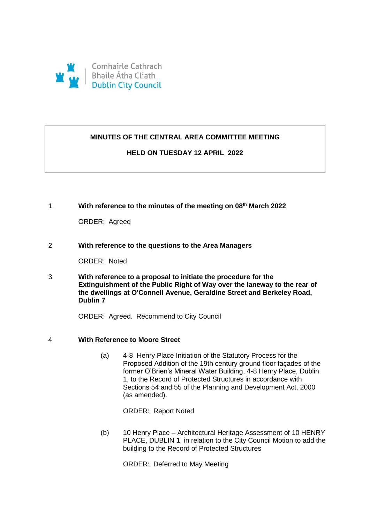

# **MINUTES OF THE CENTRAL AREA COMMITTEE MEETING**

# **HELD ON TUESDAY 12 APRIL 2022**

1. **With reference to the minutes of the meeting on 08th March 2022** 

ORDER: Agreed

2 **With reference to the questions to the Area Managers** 

ORDER: Noted

3 **With reference to a proposal to initiate the procedure for the Extinguishment of the Public Right of Way over the laneway to the rear of the dwellings at O'Connell Avenue, Geraldine Street and Berkeley Road, Dublin 7** 

ORDER: Agreed. Recommend to City Council

- 4 **With Reference to Moore Street**
	- (a) 4-8 Henry Place Initiation of the Statutory Process for the Proposed Addition of the 19th century ground floor façades of the former O'Brien's Mineral Water Building, 4-8 Henry Place, Dublin 1, to the Record of Protected Structures in accordance with Sections 54 and 55 of the Planning and Development Act, 2000 (as amended).

ORDER: Report Noted

(b) 10 Henry Place – Architectural Heritage Assessment of 10 HENRY PLACE, DUBLIN **1**, in relation to the City Council Motion to add the building to the Record of Protected Structures

ORDER: Deferred to May Meeting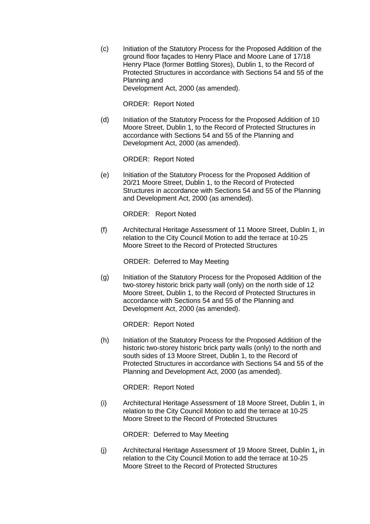(c) Initiation of the Statutory Process for the Proposed Addition of the ground floor façades to Henry Place and Moore Lane of 17/18 Henry Place (former Bottling Stores), Dublin 1, to the Record of Protected Structures in accordance with Sections 54 and 55 of the Planning and Development Act, 2000 (as amended).

ORDER: Report Noted

(d) Initiation of the Statutory Process for the Proposed Addition of 10 Moore Street, Dublin 1, to the Record of Protected Structures in accordance with Sections 54 and 55 of the Planning and Development Act, 2000 (as amended).

ORDER: Report Noted

(e) Initiation of the Statutory Process for the Proposed Addition of 20/21 Moore Street, Dublin 1, to the Record of Protected Structures in accordance with Sections 54 and 55 of the Planning and Development Act, 2000 (as amended).

ORDER: Report Noted

(f) Architectural Heritage Assessment of 11 Moore Street, Dublin 1, in relation to the City Council Motion to add the terrace at 10-25 Moore Street to the Record of Protected Structures

ORDER: Deferred to May Meeting

(g) Initiation of the Statutory Process for the Proposed Addition of the two-storey historic brick party wall (only) on the north side of 12 Moore Street, Dublin 1, to the Record of Protected Structures in accordance with Sections 54 and 55 of the Planning and Development Act, 2000 (as amended).

ORDER: Report Noted

(h) Initiation of the Statutory Process for the Proposed Addition of the historic two-storey historic brick party walls (only) to the north and south sides of 13 Moore Street, Dublin 1, to the Record of Protected Structures in accordance with Sections 54 and 55 of the Planning and Development Act, 2000 (as amended).

ORDER: Report Noted

(i) Architectural Heritage Assessment of 18 Moore Street, Dublin 1, in relation to the City Council Motion to add the terrace at 10-25 Moore Street to the Record of Protected Structures

ORDER: Deferred to May Meeting

(j) Architectural Heritage Assessment of 19 Moore Street, Dublin 1**,** in relation to the City Council Motion to add the terrace at 10-25 Moore Street to the Record of Protected Structures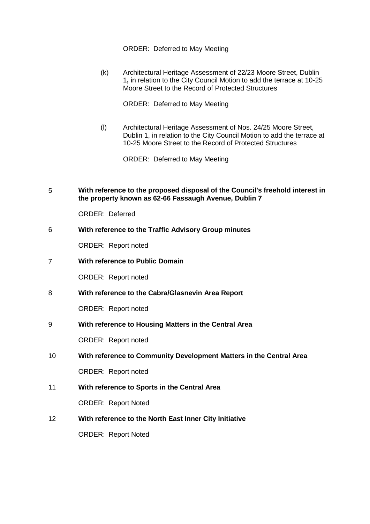ORDER: Deferred to May Meeting

(k) Architectural Heritage Assessment of 22/23 Moore Street, Dublin 1**,** in relation to the City Council Motion to add the terrace at 10-25 Moore Street to the Record of Protected Structures

ORDER: Deferred to May Meeting

(l) Architectural Heritage Assessment of Nos. 24/25 Moore Street, Dublin 1, in relation to the City Council Motion to add the terrace at 10-25 Moore Street to the Record of Protected Structures

ORDER: Deferred to May Meeting

5 **With reference to the proposed disposal of the Council's freehold interest in the property known as 62-66 Fassaugh Avenue, Dublin 7** 

ORDER: Deferred

# 6 **With reference to the Traffic Advisory Group minutes**

ORDER: Report noted

7 **With reference to Public Domain**

ORDER: Report noted

8 **With reference to the Cabra/Glasnevin Area Report** 

ORDER: Report noted

9 **With reference to Housing Matters in the Central Area** 

ORDER: Report noted

10 **With reference to Community Development Matters in the Central Area** 

ORDER: Report noted

11 **With reference to Sports in the Central Area** 

ORDER: Report Noted

12 **With reference to the North East Inner City Initiative** 

ORDER: Report Noted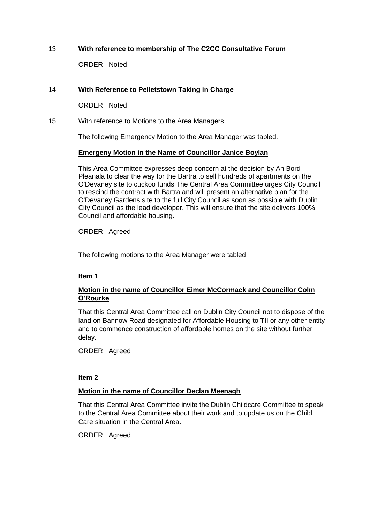# 13 **With reference to membership of The C2CC Consultative Forum**

ORDER: Noted

# 14 **With Reference to Pelletstown Taking in Charge**

ORDER: Noted

15 With reference to Motions to the Area Managers

The following Emergency Motion to the Area Manager was tabled.

# **Emergeny Motion in the Name of Councillor Janice Boylan**

This Area Committee expresses deep concern at the decision by An Bord Pleanala to clear the way for the Bartra to sell hundreds of apartments on the O'Devaney site to cuckoo funds.The Central Area Committee urges City Council to rescind the contract with Bartra and will present an alternative plan for the O'Devaney Gardens site to the full City Council as soon as possible with Dublin City Council as the lead developer. This will ensure that the site delivers 100% Council and affordable housing.

ORDER: Agreed

The following motions to the Area Manager were tabled

# **Item 1**

# **Motion in the name of Councillor Eimer McCormack and Councillor Colm O'Rourke**

That this Central Area Committee call on Dublin City Council not to dispose of the land on Bannow Road designated for Affordable Housing to TII or any other entity and to commence construction of affordable homes on the site without further delay.

ORDER: Agreed

# **Item 2**

# **Motion in the name of Councillor Declan Meenagh**

That this Central Area Committee invite the Dublin Childcare Committee to speak to the Central Area Committee about their work and to update us on the Child Care situation in the Central Area.

ORDER: Agreed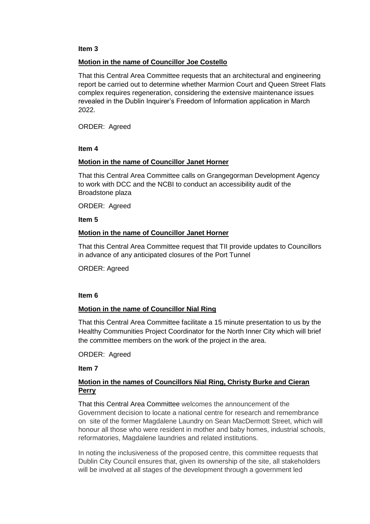### **Item 3**

# **Motion in the name of Councillor Joe Costello**

That this Central Area Committee requests that an architectural and engineering report be carried out to determine whether Marmion Court and Queen Street Flats complex requires regeneration, considering the extensive maintenance issues revealed in the Dublin Inquirer's Freedom of Information application in March 2022.

ORDER: Agreed

## **Item 4**

# **Motion in the name of Councillor Janet Horner**

That this Central Area Committee calls on Grangegorman Development Agency to work with DCC and the NCBI to conduct an accessibility audit of the Broadstone plaza

ORDER: Agreed

**Item 5**

## **Motion in the name of Councillor Janet Horner**

That this Central Area Committee request that TII provide updates to Councillors in advance of any anticipated closures of the Port Tunnel

ORDER: Agreed

#### **Item 6**

# **Motion in the name of Councillor Nial Ring**

That this Central Area Committee facilitate a 15 minute presentation to us by the Healthy Communities Project Coordinator for the North Inner City which will brief the committee members on the work of the project in the area.

#### ORDER: Agreed

**Item 7**

# **Motion in the names of Councillors Nial Ring, Christy Burke and Cieran Perry**

That this Central Area Committee welcomes the announcement of the Government decision to locate a national centre for research and remembrance on site of the former Magdalene Laundry on Sean MacDermott Street, which will honour all those who were resident in mother and baby homes, industrial schools, reformatories, Magdalene laundries and related institutions.

In noting the inclusiveness of the proposed centre, this committee requests that Dublin City Council ensures that, given its ownership of the site, all stakeholders will be involved at all stages of the development through a government led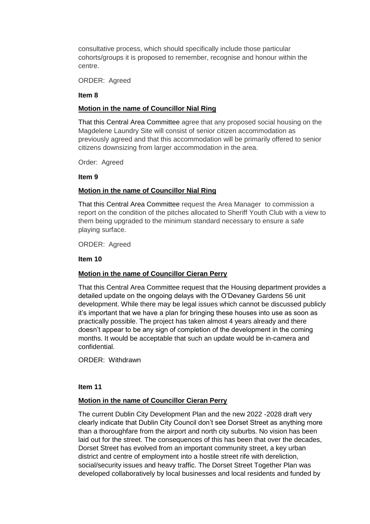consultative process, which should specifically include those particular cohorts/groups it is proposed to remember, recognise and honour within the centre.

ORDER: Agreed

## **Item 8**

# **Motion in the name of Councillor Nial Ring**

That this Central Area Committee agree that any proposed social housing on the Magdelene Laundry Site will consist of senior citizen accommodation as previously agreed and that this accommodation will be primarily offered to senior citizens downsizing from larger accommodation in the area.

Order: Agreed

## **Item 9**

# **Motion in the name of Councillor Nial Ring**

That this Central Area Committee request the Area Manager to commission a report on the condition of the pitches allocated to Sheriff Youth Club with a view to them being upgraded to the minimum standard necessary to ensure a safe playing surface.

ORDER: Agreed

## **Item 10**

# **Motion in the name of Councillor Cieran Perry**

That this Central Area Committee request that the Housing department provides a detailed update on the ongoing delays with the O'Devaney Gardens 56 unit development. While there may be legal issues which cannot be discussed publicly it's important that we have a plan for bringing these houses into use as soon as practically possible. The project has taken almost 4 years already and there doesn't appear to be any sign of completion of the development in the coming months. It would be acceptable that such an update would be in-camera and confidential.

ORDER: Withdrawn

# **Item 11**

# **Motion in the name of Councillor Cieran Perry**

The current Dublin City Development Plan and the new 2022 -2028 draft very clearly indicate that Dublin City Council don't see Dorset Street as anything more than a thoroughfare from the airport and north city suburbs. No vision has been laid out for the street. The consequences of this has been that over the decades, Dorset Street has evolved from an important community street, a key urban district and centre of employment into a hostile street rife with dereliction, social/security issues and heavy traffic. The Dorset Street Together Plan was developed collaboratively by local businesses and local residents and funded by